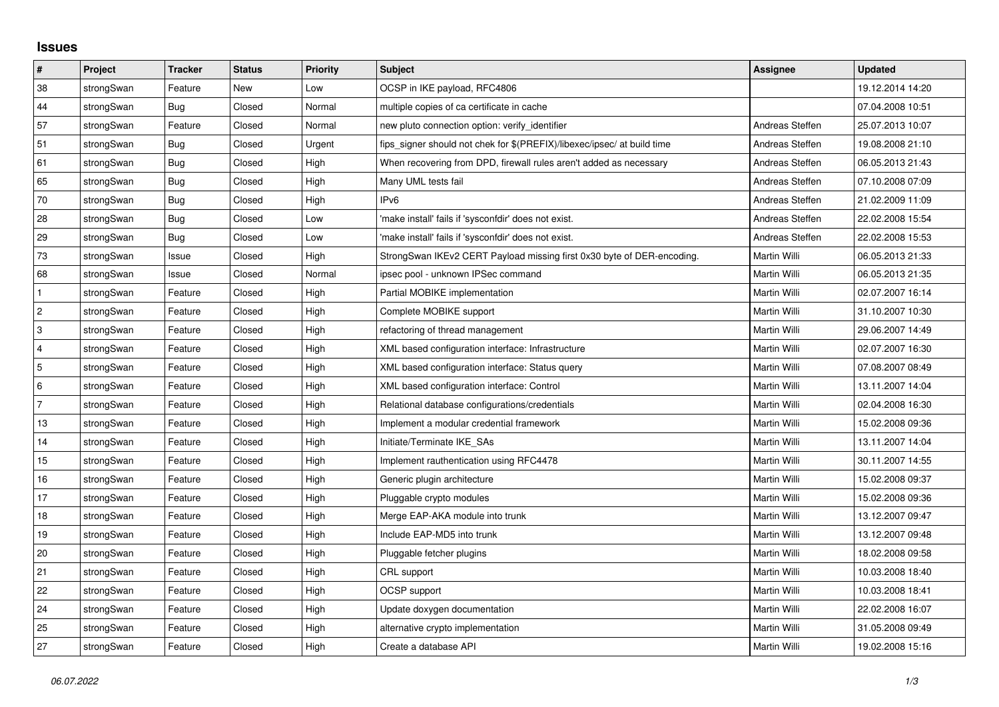## **Issues**

| $\vert$ #      | Project    | <b>Tracker</b> | <b>Status</b> | <b>Priority</b> | <b>Subject</b>                                                          | <b>Assignee</b>     | <b>Updated</b>   |
|----------------|------------|----------------|---------------|-----------------|-------------------------------------------------------------------------|---------------------|------------------|
| 38             | strongSwan | Feature        | <b>New</b>    | Low             | OCSP in IKE payload, RFC4806                                            |                     | 19.12.2014 14:20 |
| 44             | strongSwan | Bug            | Closed        | Normal          | multiple copies of ca certificate in cache                              |                     | 07.04.2008 10:51 |
| 57             | strongSwan | Feature        | Closed        | Normal          | new pluto connection option: verify identifier                          | Andreas Steffen     | 25.07.2013 10:07 |
| 51             | strongSwan | Bug            | Closed        | Urgent          | fips_signer should not chek for \$(PREFIX)/libexec/ipsec/ at build time | Andreas Steffen     | 19.08.2008 21:10 |
| 61             | strongSwan | Bug            | Closed        | High            | When recovering from DPD, firewall rules aren't added as necessary      | Andreas Steffen     | 06.05.2013 21:43 |
| 65             | strongSwan | Bug            | Closed        | High            | Many UML tests fail                                                     | Andreas Steffen     | 07.10.2008 07:09 |
| 70             | strongSwan | Bug            | Closed        | High            | IPv <sub>6</sub>                                                        | Andreas Steffen     | 21.02.2009 11:09 |
| 28             | strongSwan | Bug            | Closed        | Low             | 'make install' fails if 'sysconfdir' does not exist.                    | Andreas Steffen     | 22.02.2008 15:54 |
| 29             | strongSwan | Bug            | Closed        | Low             | 'make install' fails if 'sysconfdir' does not exist.                    | Andreas Steffen     | 22.02.2008 15:53 |
| 73             | strongSwan | Issue          | Closed        | High            | StrongSwan IKEv2 CERT Payload missing first 0x30 byte of DER-encoding.  | Martin Willi        | 06.05.2013 21:33 |
| 68             | strongSwan | Issue          | Closed        | Normal          | ipsec pool - unknown IPSec command                                      | Martin Willi        | 06.05.2013 21:35 |
| $\mathbf{1}$   | strongSwan | Feature        | Closed        | High            | Partial MOBIKE implementation                                           | Martin Willi        | 02.07.2007 16:14 |
| $\overline{2}$ | strongSwan | Feature        | Closed        | High            | Complete MOBIKE support                                                 | Martin Willi        | 31.10.2007 10:30 |
| 3              | strongSwan | Feature        | Closed        | High            | refactoring of thread management                                        | Martin Willi        | 29.06.2007 14:49 |
| 4              | strongSwan | Feature        | Closed        | High            | XML based configuration interface: Infrastructure                       | Martin Willi        | 02.07.2007 16:30 |
| 5              | strongSwan | Feature        | Closed        | High            | XML based configuration interface: Status query                         | Martin Willi        | 07.08.2007 08:49 |
| 6              | strongSwan | Feature        | Closed        | High            | XML based configuration interface: Control                              | Martin Willi        | 13.11.2007 14:04 |
| $\overline{7}$ | strongSwan | Feature        | Closed        | High            | Relational database configurations/credentials                          | Martin Willi        | 02.04.2008 16:30 |
| 13             | strongSwan | Feature        | Closed        | High            | Implement a modular credential framework                                | Martin Willi        | 15.02.2008 09:36 |
| 14             | strongSwan | Feature        | Closed        | High            | Initiate/Terminate IKE SAs                                              | Martin Willi        | 13.11.2007 14:04 |
| 15             | strongSwan | Feature        | Closed        | High            | Implement rauthentication using RFC4478                                 | Martin Willi        | 30.11.2007 14:55 |
| 16             | strongSwan | Feature        | Closed        | High            | Generic plugin architecture                                             | Martin Willi        | 15.02.2008 09:37 |
| 17             | strongSwan | Feature        | Closed        | High            | Pluggable crypto modules                                                | Martin Willi        | 15.02.2008 09:36 |
| 18             | strongSwan | Feature        | Closed        | High            | Merge EAP-AKA module into trunk                                         | Martin Willi        | 13.12.2007 09:47 |
| 19             | strongSwan | Feature        | Closed        | High            | Include EAP-MD5 into trunk                                              | Martin Willi        | 13.12.2007 09:48 |
| 20             | strongSwan | Feature        | Closed        | High            | Pluggable fetcher plugins                                               | Martin Willi        | 18.02.2008 09:58 |
| 21             | strongSwan | Feature        | Closed        | High            | CRL support                                                             | Martin Willi        | 10.03.2008 18:40 |
| 22             | strongSwan | Feature        | Closed        | High            | OCSP support                                                            | Martin Willi        | 10.03.2008 18:41 |
| 24             | strongSwan | Feature        | Closed        | High            | Update doxygen documentation                                            | Martin Willi        | 22.02.2008 16:07 |
| 25             | strongSwan | Feature        | Closed        | High            | alternative crypto implementation                                       | Martin Willi        | 31.05.2008 09:49 |
| 27             | strongSwan | Feature        | Closed        | High            | Create a database API                                                   | <b>Martin Willi</b> | 19.02.2008 15:16 |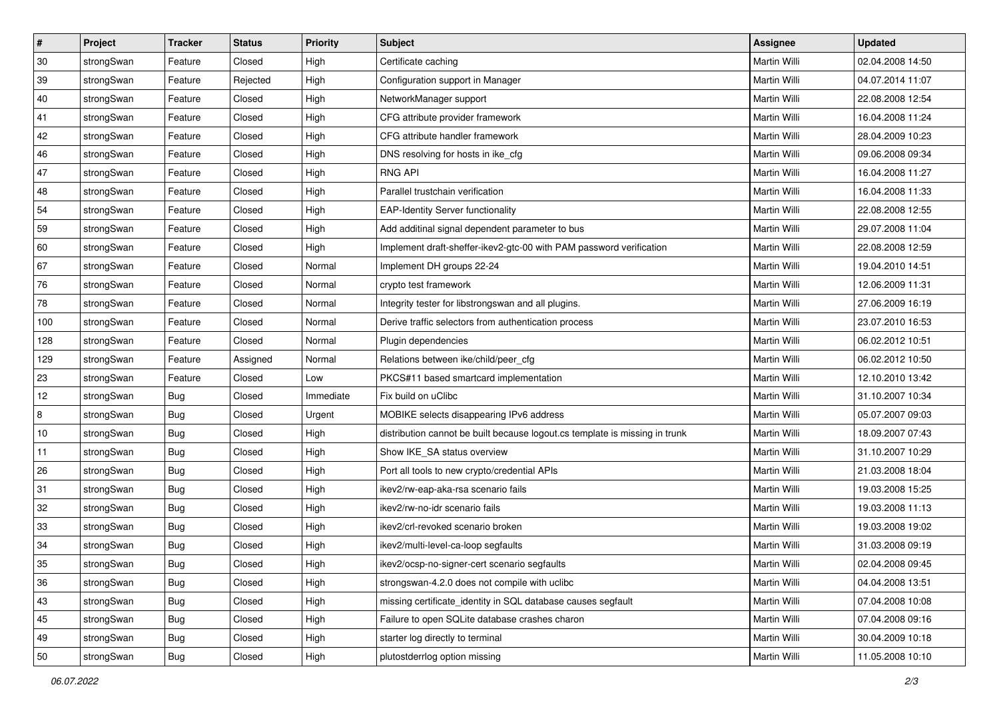| $\vert$ # | Project    | <b>Tracker</b> | <b>Status</b> | <b>Priority</b> | <b>Subject</b>                                                              | Assignee            | <b>Updated</b>   |
|-----------|------------|----------------|---------------|-----------------|-----------------------------------------------------------------------------|---------------------|------------------|
| 30        | strongSwan | Feature        | Closed        | High            | Certificate caching                                                         | Martin Willi        | 02.04.2008 14:50 |
| 39        | strongSwan | Feature        | Rejected      | High            | Configuration support in Manager                                            | <b>Martin Willi</b> | 04.07.2014 11:07 |
| 40        | strongSwan | Feature        | Closed        | High            | NetworkManager support                                                      | Martin Willi        | 22.08.2008 12:54 |
| 41        | strongSwan | Feature        | Closed        | High            | CFG attribute provider framework                                            | Martin Willi        | 16.04.2008 11:24 |
| 42        | strongSwan | Feature        | Closed        | High            | CFG attribute handler framework                                             | Martin Willi        | 28.04.2009 10:23 |
| 46        | strongSwan | Feature        | Closed        | High            | DNS resolving for hosts in ike cfg                                          | Martin Willi        | 09.06.2008 09:34 |
| 47        | strongSwan | Feature        | Closed        | High            | <b>RNG API</b>                                                              | Martin Willi        | 16.04.2008 11:27 |
| 48        | strongSwan | Feature        | Closed        | High            | Parallel trustchain verification                                            | Martin Willi        | 16.04.2008 11:33 |
| 54        | strongSwan | Feature        | Closed        | High            | <b>EAP-Identity Server functionality</b>                                    | Martin Willi        | 22.08.2008 12:55 |
| 59        | strongSwan | Feature        | Closed        | High            | Add additinal signal dependent parameter to bus                             | Martin Willi        | 29.07.2008 11:04 |
| 60        | strongSwan | Feature        | Closed        | High            | Implement draft-sheffer-ikev2-gtc-00 with PAM password verification         | Martin Willi        | 22.08.2008 12:59 |
| 67        | strongSwan | Feature        | Closed        | Normal          | Implement DH groups 22-24                                                   | Martin Willi        | 19.04.2010 14:51 |
| 76        | strongSwan | Feature        | Closed        | Normal          | crypto test framework                                                       | <b>Martin Willi</b> | 12.06.2009 11:31 |
| 78        | strongSwan | Feature        | Closed        | Normal          | Integrity tester for libstrongswan and all plugins.                         | Martin Willi        | 27.06.2009 16:19 |
| 100       | strongSwan | Feature        | Closed        | Normal          | Derive traffic selectors from authentication process                        | <b>Martin Willi</b> | 23.07.2010 16:53 |
| 128       | strongSwan | Feature        | Closed        | Normal          | Plugin dependencies                                                         | Martin Willi        | 06.02.2012 10:51 |
| 129       | strongSwan | Feature        | Assigned      | Normal          | Relations between ike/child/peer_cfg                                        | <b>Martin Willi</b> | 06.02.2012 10:50 |
| 23        | strongSwan | Feature        | Closed        | Low             | PKCS#11 based smartcard implementation                                      | <b>Martin Willi</b> | 12.10.2010 13:42 |
| 12        | strongSwan | <b>Bug</b>     | Closed        | Immediate       | Fix build on uClibc                                                         | Martin Willi        | 31.10.2007 10:34 |
| 8         | strongSwan | Bug            | Closed        | Urgent          | MOBIKE selects disappearing IPv6 address                                    | Martin Willi        | 05.07.2007 09:03 |
| 10        | strongSwan | <b>Bug</b>     | Closed        | High            | distribution cannot be built because logout.cs template is missing in trunk | Martin Willi        | 18.09.2007 07:43 |
| 11        | strongSwan | <b>Bug</b>     | Closed        | High            | Show IKE SA status overview                                                 | Martin Willi        | 31.10.2007 10:29 |
| 26        | strongSwan | Bug            | Closed        | High            | Port all tools to new crypto/credential APIs                                | Martin Willi        | 21.03.2008 18:04 |
| 31        | strongSwan | Bug            | Closed        | High            | ikev2/rw-eap-aka-rsa scenario fails                                         | Martin Willi        | 19.03.2008 15:25 |
| 32        | strongSwan | <b>Bug</b>     | Closed        | High            | ikev2/rw-no-idr scenario fails                                              | Martin Willi        | 19.03.2008 11:13 |
| 33        | strongSwan | Bug            | Closed        | High            | ikev2/crl-revoked scenario broken                                           | Martin Willi        | 19.03.2008 19:02 |
| 34        | strongSwan | Bug            | Closed        | High            | ikev2/multi-level-ca-loop segfaults                                         | Martin Willi        | 31.03.2008 09:19 |
| 35        | strongSwan | Bug            | Closed        | High            | ikev2/ocsp-no-signer-cert scenario segfaults                                | Martin Willi        | 02.04.2008 09:45 |
| 36        | strongSwan | Bug            | Closed        | High            | strongswan-4.2.0 does not compile with uclibe                               | Martin Willi        | 04.04.2008 13:51 |
| 43        | strongSwan | Bug            | Closed        | High            | missing certificate identity in SQL database causes segfault                | Martin Willi        | 07.04.2008 10:08 |
| 45        | strongSwan | Bug            | Closed        | High            | Failure to open SQLite database crashes charon                              | Martin Willi        | 07.04.2008 09:16 |
| 49        | strongSwan | Bug            | Closed        | High            | starter log directly to terminal                                            | Martin Willi        | 30.04.2009 10:18 |
| 50        | strongSwan | <b>Bug</b>     | Closed        | High            | plutostderrlog option missing                                               | Martin Willi        | 11.05.2008 10:10 |